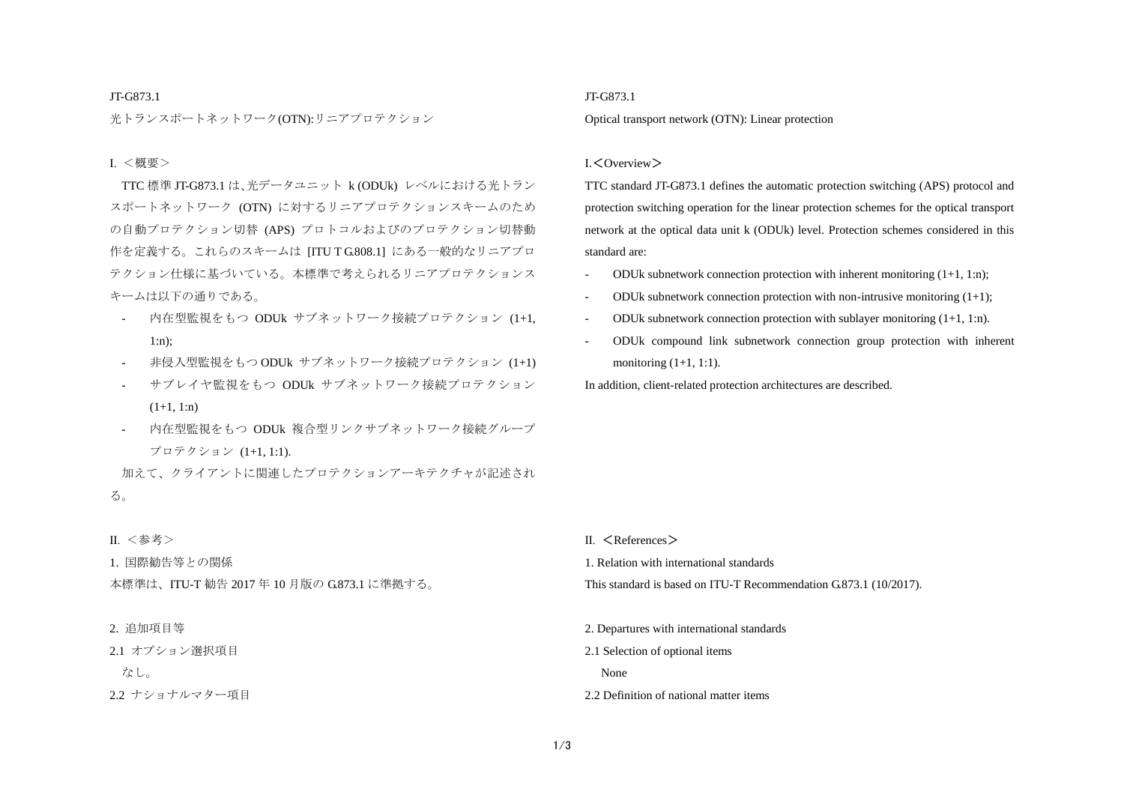#### JT-G873.1

光トランスポートネットワーク(OTN):リニアプロテクション

#### Ⅰ. <概要>

TTC 標準 JT-G873.1 は、光データユニット k (ODUk) レベルにおける光トラン スポートネットワーク (OTN) に対するリニアプロテクションスキームのため の自動プロテクション切替 (APS) プロトコルおよびのプロテクション切替動 作を定義する。これらのスキームは [ITU T G.808.1] にある一般的なリニアプロ テクション仕様に基づいている。本標準で考えられるリニアプロテクションス キームは以下の通りである。

- 内在型監視をもつ ODUk サブネットワーク接続プロテクション (1+1, 1:n);
- 非侵入型監視をもつ ODUk サブネットワーク接続プロテクション (1+1)
- サブレイヤ監視をもつ ODUk サブネットワーク接続プロテクション  $(1+1, 1:n)$
- 内在型監視をもつ ODUk 複合型リンクサブネットワーク接続グループ プロテクション (1+1, 1:1).

加えて、クライアントに関連したプロテクションアーキテクチャが記述され る。

### Ⅱ. <参考>

1. 国際勧告等との関係

本標準は、ITU-T 勧告 2017 年 10 月版の G.873.1 に準拠する。

#### 2. 追加項目等

2.1 オプション選択項目

なし。

2.2 ナショナルマター項目

### JT-G873.1

Optical transport network (OTN): Linear protection

#### Ⅰ.<Overview>

TTC standard JT-G873.1 defines the automatic protection switching (APS) protocol and protection switching operation for the linear protection schemes for the optical transport network at the optical data unit k (ODUk) level. Protection schemes considered in this standard are:

- ODUk subnetwork connection protection with inherent monitoring  $(1+1, 1:n)$ ;
- ODUk subnetwork connection protection with non-intrusive monitoring  $(1+1)$ ;
- ODUk subnetwork connection protection with sublayer monitoring  $(1+1, 1:n)$ .
- ODUk compound link subnetwork connection group protection with inherent monitoring  $(1+1, 1:1)$ .

In addition, client-related protection architectures are described.

- $II \leq$ References  $>$
- 1. Relation with international standards
- This standard is based on ITU-T Recommendation G.873.1 (10/2017).
- 2. Departures with international standards
- 2.1 Selection of optional items

None

2.2 Definition of national matter items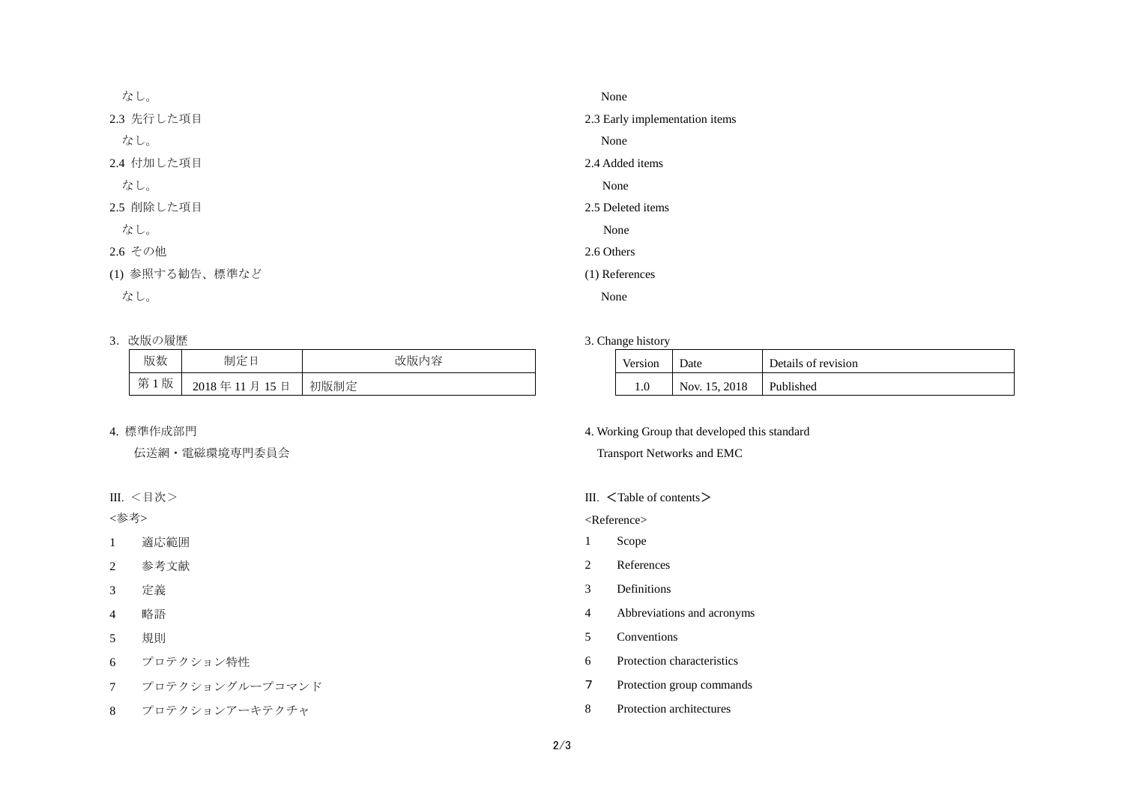| なし。             | None                           |
|-----------------|--------------------------------|
| 2.3 先行した項目      | 2.3 Early implementation items |
| なし。             | None                           |
| 2.4 付加した項目      | 2.4 Added items                |
| なし。             | None                           |
| 2.5 削除した項目      | 2.5 Deleted items              |
| なし。             | None                           |
| 2.6 その他         | 2.6 Others                     |
| (1) 参照する勧告、標準など | (1) References                 |
| なし。             | None                           |
|                 |                                |

# 3. 改版の履歴

| 版数  | 制定日         | 改版内容 |
|-----|-------------|------|
| 第1版 | 2018年11月15日 | 初版制定 |

# 4. 標準作成部門

伝送網・電磁環境専門委員会

## Ⅲ. <目次>

<参考>

- 1 適応範囲
- 2 参考文献
- 3 定義
- 4 略語
- 5 規則
- 6 プロテクション特性
- 7 プロテクショングループコマンド
- 8 プロテクションアーキテクチャ

### 3. Change history

| Version | $\mathcal{D}$ ate | Details of revision |
|---------|-------------------|---------------------|
|         | Nov. 15, 2018     | Published           |

## 4. Working Group that developed this standard

Transport Networks and EMC

## Ⅲ. <Table of contents>

<Reference>

- 1 Scope
- 2 References
- 3 Definitions
- 4 Abbreviations and acronyms
- 5 Conventions
- 6 Protection characteristics
- 7 Protection group commands
- 8 Protection architectures